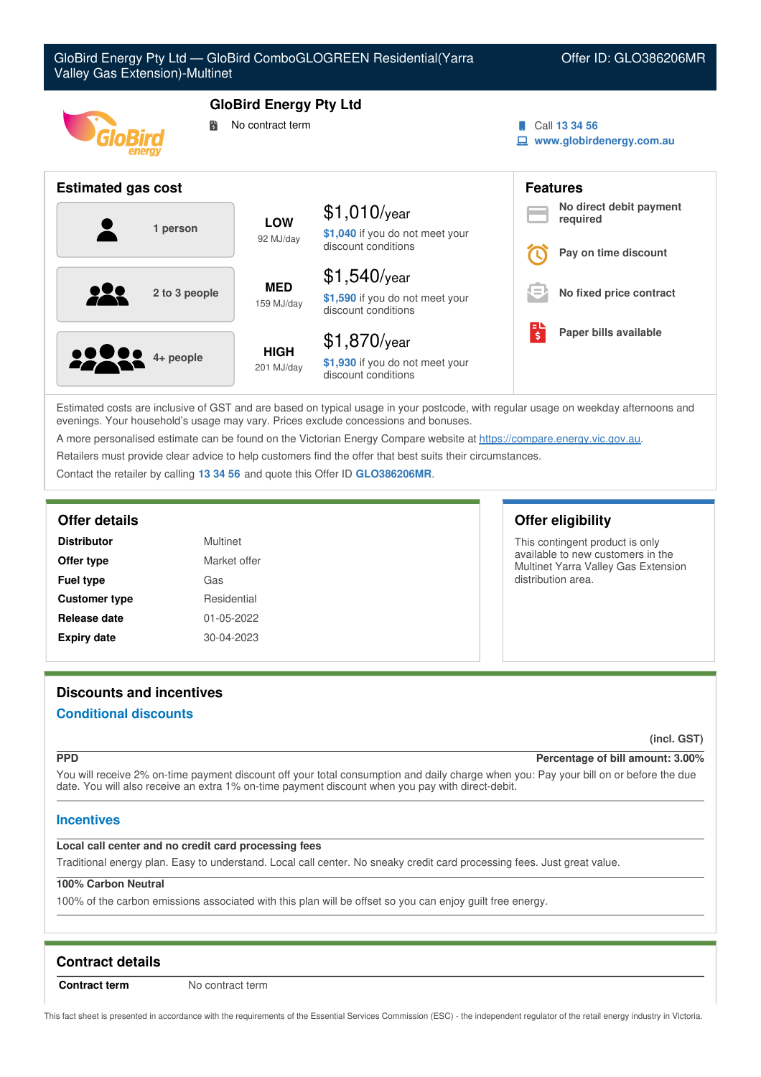| GloBird Energy Pty Ltd - GloBird ComboGLOGREEN Residential(Yarra<br><b>Valley Gas Extension)-Multinet</b> |                                                   |                                                                          |                     | Offer ID: GLO386206MR                                       |
|-----------------------------------------------------------------------------------------------------------|---------------------------------------------------|--------------------------------------------------------------------------|---------------------|-------------------------------------------------------------|
| 鬜                                                                                                         | <b>GloBird Energy Pty Ltd</b><br>No contract term |                                                                          |                     | Call 13 34 56<br>www.globirdenergy.com.au                   |
| <b>Estimated gas cost</b>                                                                                 |                                                   |                                                                          |                     | <b>Features</b>                                             |
| 1 person                                                                                                  | LOW<br>92 MJ/day                                  | $$1,010$ /year<br>\$1,040 if you do not meet your<br>discount conditions |                     | No direct debit payment<br>required<br>Pay on time discount |
| 2 to 3 people                                                                                             | <b>MED</b><br>159 MJ/day                          | $$1,540$ /year<br>\$1,590 if you do not meet your<br>discount conditions |                     | No fixed price contract                                     |
| 4+ people                                                                                                 | <b>HIGH</b><br>201 MJ/day                         | \$1,870/year<br>\$1,930 if you do not meet your<br>discount conditions   | $\ddot{\bm{\zeta}}$ | Paper bills available                                       |

Estimated costs are inclusive of GST and are based on typical usage in your postcode, with regular usage on weekday afternoons and evenings. Your household's usage may vary. Prices exclude concessions and bonuses.

A more personalised estimate can be found on the Victorian Energy Compare website at <https://compare.energy.vic.gov.au>.

Retailers must provide clear advice to help customers find the offer that best suits their circumstances.

Contact the retailer by calling **13 34 56** and quote this Offer ID **GLO386206MR**.

| <b>Distributor</b>   | Multinet     |
|----------------------|--------------|
| Offer type           | Market offer |
| <b>Fuel type</b>     | Gas          |
| <b>Customer type</b> | Residential  |
| Release date         | 01-05-2022   |
| <b>Expiry date</b>   | 30-04-2023   |

## **Offer details Offer eligibility**

This contingent product is only available to new customers in the Multinet Yarra Valley Gas Extension distribution area.

# **Discounts and incentives**

## **Conditional discounts**

## **(incl. GST)**

## **PPD Percentage of bill amount: 3.00%**

You will receive 2% on-time payment discount off your total consumption and daily charge when you: Pay your bill on or before the due date. You will also receive an extra 1% on-time payment discount when you pay with direct-debit.

## **Incentives**

## **Local call center and no credit card processing fees**

Traditional energy plan. Easy to understand. Local call center. No sneaky credit card processing fees. Just great value.

## **100% Carbon Neutral**

100% of the carbon emissions associated with this plan will be offset so you can enjoy guilt free energy.

# **Contract details**

**Contract term** No contract term

This fact sheet is presented in accordance with the requirements of the Essential Services Commission (ESC) - the independent regulator of the retail energy industry in Victoria.